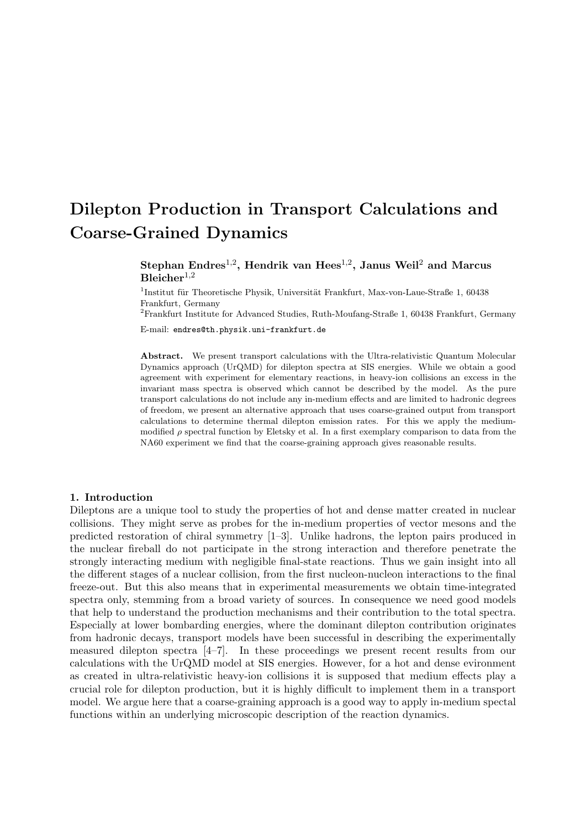# Dilepton Production in Transport Calculations and Coarse-Grained Dynamics

# Stephan Endres<sup>1,2</sup>, Hendrik van Hees<sup>1,2</sup>, Janus Weil<sup>2</sup> and Marcus  $B$ leicher<sup>1,2</sup>

<sup>1</sup>Institut für Theoretische Physik, Universität Frankfurt, Max-von-Laue-Straße 1, 60438 Frankfurt, Germany

<sup>2</sup>Frankfurt Institute for Advanced Studies, Ruth-Moufang-Straße 1, 60438 Frankfurt, Germany

E-mail: endres@th.physik.uni-frankfurt.de

Abstract. We present transport calculations with the Ultra-relativistic Quantum Molecular Dynamics approach (UrQMD) for dilepton spectra at SIS energies. While we obtain a good agreement with experiment for elementary reactions, in heavy-ion collisions an excess in the invariant mass spectra is observed which cannot be described by the model. As the pure transport calculations do not include any in-medium effects and are limited to hadronic degrees of freedom, we present an alternative approach that uses coarse-grained output from transport calculations to determine thermal dilepton emission rates. For this we apply the mediummodified  $\rho$  spectral function by Eletsky et al. In a first exemplary comparison to data from the NA60 experiment we find that the coarse-graining approach gives reasonable results.

## 1. Introduction

Dileptons are a unique tool to study the properties of hot and dense matter created in nuclear collisions. They might serve as probes for the in-medium properties of vector mesons and the predicted restoration of chiral symmetry [1–3]. Unlike hadrons, the lepton pairs produced in the nuclear fireball do not participate in the strong interaction and therefore penetrate the strongly interacting medium with negligible final-state reactions. Thus we gain insight into all the different stages of a nuclear collision, from the first nucleon-nucleon interactions to the final freeze-out. But this also means that in experimental measurements we obtain time-integrated spectra only, stemming from a broad variety of sources. In consequence we need good models that help to understand the production mechanisms and their contribution to the total spectra. Especially at lower bombarding energies, where the dominant dilepton contribution originates from hadronic decays, transport models have been successful in describing the experimentally measured dilepton spectra [4–7]. In these proceedings we present recent results from our calculations with the UrQMD model at SIS energies. However, for a hot and dense evironment as created in ultra-relativistic heavy-ion collisions it is supposed that medium effects play a crucial role for dilepton production, but it is highly difficult to implement them in a transport model. We argue here that a coarse-graining approach is a good way to apply in-medium spectal functions within an underlying microscopic description of the reaction dynamics.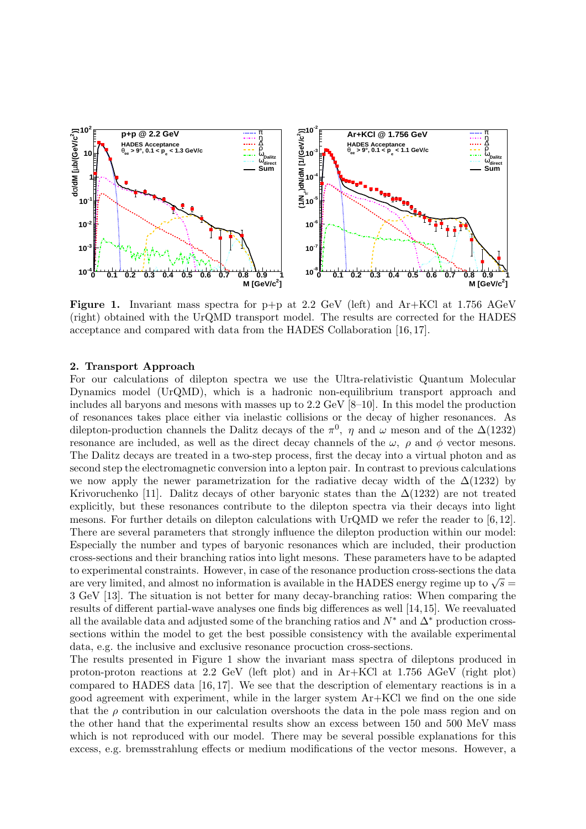

**Figure 1.** Invariant mass spectra for  $p+p$  at 2.2 GeV (left) and  $Ar+KCl$  at 1.756 AGeV (right) obtained with the UrQMD transport model. The results are corrected for the HADES acceptance and compared with data from the HADES Collaboration [16, 17].

## 2. Transport Approach

For our calculations of dilepton spectra we use the Ultra-relativistic Quantum Molecular Dynamics model (UrQMD), which is a hadronic non-equilibrium transport approach and includes all baryons and mesons with masses up to 2.2 GeV [8–10]. In this model the production of resonances takes place either via inelastic collisions or the decay of higher resonances. As dilepton-production channels the Dalitz decays of the  $\pi^0$ ,  $\eta$  and  $\omega$  meson and of the  $\Delta(1232)$ resonance are included, as well as the direct decay channels of the  $\omega$ ,  $\rho$  and  $\phi$  vector mesons. The Dalitz decays are treated in a two-step process, first the decay into a virtual photon and as second step the electromagnetic conversion into a lepton pair. In contrast to previous calculations we now apply the newer parametrization for the radiative decay width of the  $\Delta(1232)$  by Krivoruchenko [11]. Dalitz decays of other baryonic states than the  $\Delta(1232)$  are not treated explicitly, but these resonances contribute to the dilepton spectra via their decays into light mesons. For further details on dilepton calculations with UrQMD we refer the reader to [6, 12]. There are several parameters that strongly influence the dilepton production within our model: Especially the number and types of baryonic resonances which are included, their production cross-sections and their branching ratios into light mesons. These parameters have to be adapted to experimental constraints. However, in case of the resonance production cross-sections the data to experimental constraints. However, in case of the resonance production cross-sections the data<br>are very limited, and almost no information is available in the HADES energy regime up to  $\sqrt{s} =$ 3 GeV [13]. The situation is not better for many decay-branching ratios: When comparing the results of different partial-wave analyses one finds big differences as well [14,15]. We reevaluated all the available data and adjusted some of the branching ratios and  $N^*$  and  $\Delta^*$  production crosssections within the model to get the best possible consistency with the available experimental data, e.g. the inclusive and exclusive resonance procuction cross-sections.

The results presented in Figure 1 show the invariant mass spectra of dileptons produced in proton-proton reactions at 2.2 GeV (left plot) and in Ar+KCl at 1.756 AGeV (right plot) compared to HADES data [16, 17]. We see that the description of elementary reactions is in a good agreement with experiment, while in the larger system Ar+KCl we find on the one side that the  $\rho$  contribution in our calculation overshoots the data in the pole mass region and on the other hand that the experimental results show an excess between 150 and 500 MeV mass which is not reproduced with our model. There may be several possible explanations for this excess, e.g. bremsstrahlung effects or medium modifications of the vector mesons. However, a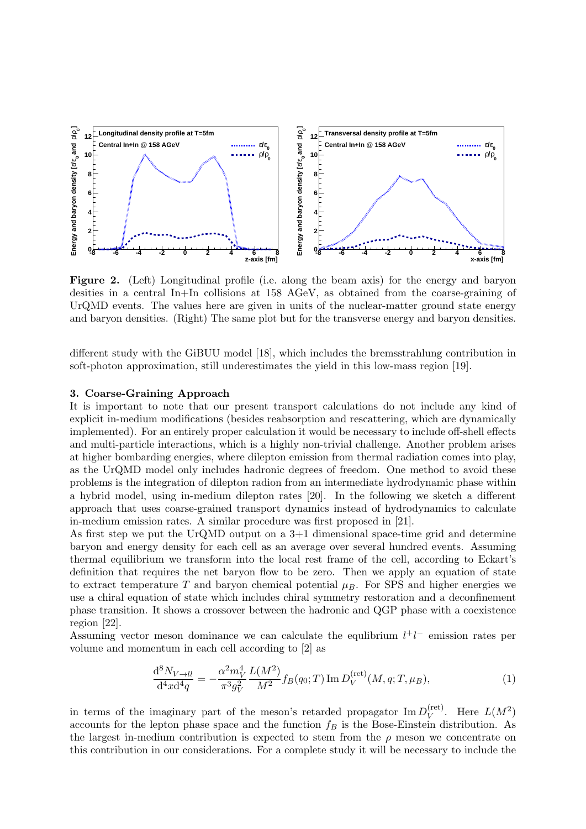

Figure 2. (Left) Longitudinal profile (i.e. along the beam axis) for the energy and baryon desities in a central In+In collisions at 158 AGeV, as obtained from the coarse-graining of UrQMD events. The values here are given in units of the nuclear-matter ground state energy and baryon densities. (Right) The same plot but for the transverse energy and baryon densities.

different study with the GiBUU model [18], which includes the bremsstrahlung contribution in soft-photon approximation, still underestimates the yield in this low-mass region [19].

# 3. Coarse-Graining Approach

It is important to note that our present transport calculations do not include any kind of explicit in-medium modifications (besides reabsorption and rescattering, which are dynamically implemented). For an entirely proper calculation it would be necessary to include off-shell effects and multi-particle interactions, which is a highly non-trivial challenge. Another problem arises at higher bombarding energies, where dilepton emission from thermal radiation comes into play, as the UrQMD model only includes hadronic degrees of freedom. One method to avoid these problems is the integration of dilepton radion from an intermediate hydrodynamic phase within a hybrid model, using in-medium dilepton rates [20]. In the following we sketch a different approach that uses coarse-grained transport dynamics instead of hydrodynamics to calculate in-medium emission rates. A similar procedure was first proposed in [21].

As first step we put the UrQMD output on a 3+1 dimensional space-time grid and determine baryon and energy density for each cell as an average over several hundred events. Assuming thermal equilibrium we transform into the local rest frame of the cell, according to Eckart's definition that requires the net baryon flow to be zero. Then we apply an equation of state to extract temperature T and baryon chemical potential  $\mu_B$ . For SPS and higher energies we use a chiral equation of state which includes chiral symmetry restoration and a deconfinement phase transition. It shows a crossover between the hadronic and QGP phase with a coexistence region [22].

Assuming vector meson dominance we can calculate the equilibrium  $l^+l^-$  emission rates per volume and momentum in each cell according to [2] as

$$
\frac{\mathrm{d}^{8}N_{V \to ll}}{\mathrm{d}^{4}x \mathrm{d}^{4}q} = -\frac{\alpha^{2}m_{V}^{4}}{\pi^{3}g_{V}^{2}} \frac{L(M^{2})}{M^{2}} f_{B}(q_{0};T) \operatorname{Im} D_{V}^{(\text{ret})}(M,q;T,\mu_{B}), \tag{1}
$$

in terms of the imaginary part of the meson's retarded propagator  $\text{Im } D_V^{(\text{ret})}$  $V^{(\text{ret})}$ . Here  $L(M^2)$ accounts for the lepton phase space and the function  $f_B$  is the Bose-Einstein distribution. As the largest in-medium contribution is expected to stem from the  $\rho$  meson we concentrate on this contribution in our considerations. For a complete study it will be necessary to include the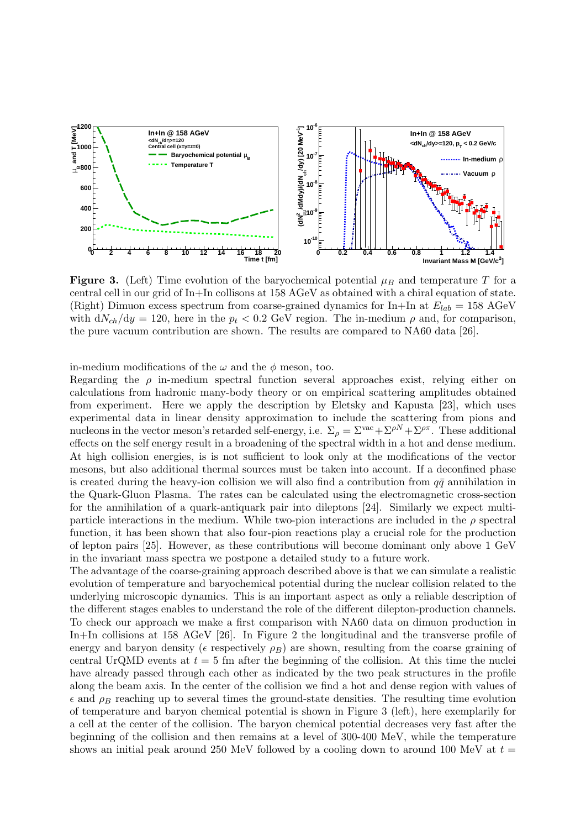

Figure 3. (Left) Time evolution of the baryochemical potential  $\mu_B$  and temperature T for a central cell in our grid of In+In collisons at 158 AGeV as obtained with a chiral equation of state. (Right) Dimuon excess spectrum from coarse-grained dynamics for In+In at  $E_{lab} = 158 \text{ AGeV}$ with  $dN_{ch}/dy = 120$ , here in the  $p_t < 0.2$  GeV region. The in-medium  $\rho$  and, for comparison, the pure vacuum contribution are shown. The results are compared to NA60 data [26].

in-medium modifications of the  $\omega$  and the  $\phi$  meson, too.

Regarding the  $\rho$  in-medium spectral function several approaches exist, relying either on calculations from hadronic many-body theory or on empirical scattering amplitudes obtained from experiment. Here we apply the description by Eletsky and Kapusta [23], which uses experimental data in linear density approximation to include the scattering from pions and nucleons in the vector meson's retarded self-energy, i.e.  $\Sigma_{\rho} = \Sigma^{vac} + \Sigma^{\rho N} + \Sigma^{\rho \pi}$ . These additional effects on the self energy result in a broadening of the spectral width in a hot and dense medium. At high collision energies, is is not sufficient to look only at the modifications of the vector mesons, but also additional thermal sources must be taken into account. If a deconfined phase is created during the heavy-ion collision we will also find a contribution from  $q\bar{q}$  annihilation in the Quark-Gluon Plasma. The rates can be calculated using the electromagnetic cross-section for the annihilation of a quark-antiquark pair into dileptons [24]. Similarly we expect multiparticle interactions in the medium. While two-pion interactions are included in the  $\rho$  spectral function, it has been shown that also four-pion reactions play a crucial role for the production of lepton pairs [25]. However, as these contributions will become dominant only above 1 GeV in the invariant mass spectra we postpone a detailed study to a future work.

The advantage of the coarse-graining approach described above is that we can simulate a realistic evolution of temperature and baryochemical potential during the nuclear collision related to the underlying microscopic dynamics. This is an important aspect as only a reliable description of the different stages enables to understand the role of the different dilepton-production channels. To check our approach we make a first comparison with NA60 data on dimuon production in In+In collisions at 158 AGeV [26]. In Figure 2 the longitudinal and the transverse profile of energy and baryon density ( $\epsilon$  respectively  $\rho_B$ ) are shown, resulting from the coarse graining of central UrQMD events at  $t = 5$  fm after the beginning of the collision. At this time the nuclei have already passed through each other as indicated by the two peak structures in the profile along the beam axis. In the center of the collision we find a hot and dense region with values of  $\epsilon$  and  $\rho_B$  reaching up to several times the ground-state densities. The resulting time evolution of temperature and baryon chemical potential is shown in Figure 3 (left), here exemplarily for a cell at the center of the collision. The baryon chemical potential decreases very fast after the beginning of the collision and then remains at a level of 300-400 MeV, while the temperature shows an initial peak around 250 MeV followed by a cooling down to around 100 MeV at  $t =$